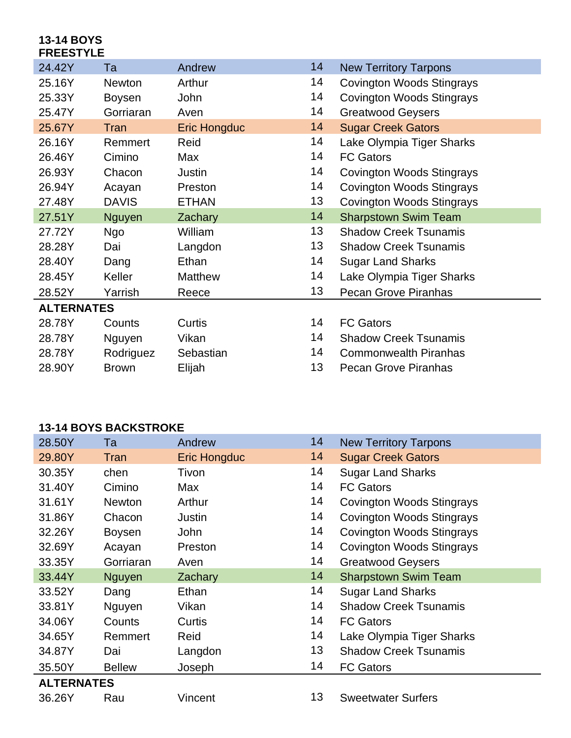#### **13-14 BOYS FREESTYLE**

| Ta                | Andrew              |    | <b>New Territory Tarpons</b>     |
|-------------------|---------------------|----|----------------------------------|
| <b>Newton</b>     | Arthur              | 14 | <b>Covington Woods Stingrays</b> |
| <b>Boysen</b>     | John                | 14 | <b>Covington Woods Stingrays</b> |
| Gorriaran         | Aven                | 14 | <b>Greatwood Geysers</b>         |
| Tran              | <b>Eric Hongduc</b> | 14 | <b>Sugar Creek Gators</b>        |
| Remmert           | Reid                | 14 | Lake Olympia Tiger Sharks        |
| Cimino            | Max                 | 14 | <b>FC Gators</b>                 |
| Chacon            | Justin              | 14 | <b>Covington Woods Stingrays</b> |
| Acayan            | Preston             | 14 | <b>Covington Woods Stingrays</b> |
| <b>DAVIS</b>      | <b>ETHAN</b>        | 13 | <b>Covington Woods Stingrays</b> |
| <b>Nguyen</b>     | Zachary             | 14 | <b>Sharpstown Swim Team</b>      |
| <b>Ngo</b>        | William             | 13 | <b>Shadow Creek Tsunamis</b>     |
| Dai               | Langdon             | 13 | <b>Shadow Creek Tsunamis</b>     |
| Dang              | Ethan               | 14 | <b>Sugar Land Sharks</b>         |
| Keller            | <b>Matthew</b>      | 14 | Lake Olympia Tiger Sharks        |
| Yarrish           | Reece               | 13 | <b>Pecan Grove Piranhas</b>      |
| <b>ALTERNATES</b> |                     |    |                                  |
| Counts            | Curtis              | 14 | <b>FC Gators</b>                 |
| Nguyen            | Vikan               | 14 | <b>Shadow Creek Tsunamis</b>     |
| Rodriguez         | Sebastian           | 14 | <b>Commonwealth Piranhas</b>     |
| <b>Brown</b>      | Elijah              | 13 | <b>Pecan Grove Piranhas</b>      |
|                   |                     |    | 14                               |

# **13-14 BOYS BACKSTROKE**

| 28.50Y            | Та            | Andrew              | 14 | <b>New Territory Tarpons</b>     |
|-------------------|---------------|---------------------|----|----------------------------------|
| 29.80Y            | Tran          | <b>Eric Hongduc</b> | 14 | <b>Sugar Creek Gators</b>        |
| 30.35Y            | chen          | Tivon               | 14 | <b>Sugar Land Sharks</b>         |
| 31.40Y            | Cimino        | Max                 | 14 | <b>FC Gators</b>                 |
| 31.61Y            | <b>Newton</b> | Arthur              | 14 | <b>Covington Woods Stingrays</b> |
| 31.86Y            | Chacon        | Justin              | 14 | Covington Woods Stingrays        |
| 32.26Y            | <b>Boysen</b> | John                | 14 | Covington Woods Stingrays        |
| 32.69Y            | Acayan        | Preston             | 14 | Covington Woods Stingrays        |
| 33.35Y            | Gorriaran     | Aven                | 14 | <b>Greatwood Geysers</b>         |
| 33.44Y            | <b>Nguyen</b> | Zachary             | 14 | <b>Sharpstown Swim Team</b>      |
| 33.52Y            | Dang          | Ethan               | 14 | <b>Sugar Land Sharks</b>         |
| 33.81Y            | Nguyen        | Vikan               | 14 | <b>Shadow Creek Tsunamis</b>     |
| 34.06Y            | Counts        | Curtis              | 14 | <b>FC Gators</b>                 |
| 34.65Y            | Remmert       | Reid                | 14 | Lake Olympia Tiger Sharks        |
| 34.87Y            | Dai           | Langdon             | 13 | <b>Shadow Creek Tsunamis</b>     |
| 35.50Y            | <b>Bellew</b> | Joseph              | 14 | <b>FC Gators</b>                 |
| <b>ALTERNATES</b> |               |                     |    |                                  |
| 36.26Y            | Rau           | Vincent             | 13 | <b>Sweetwater Surfers</b>        |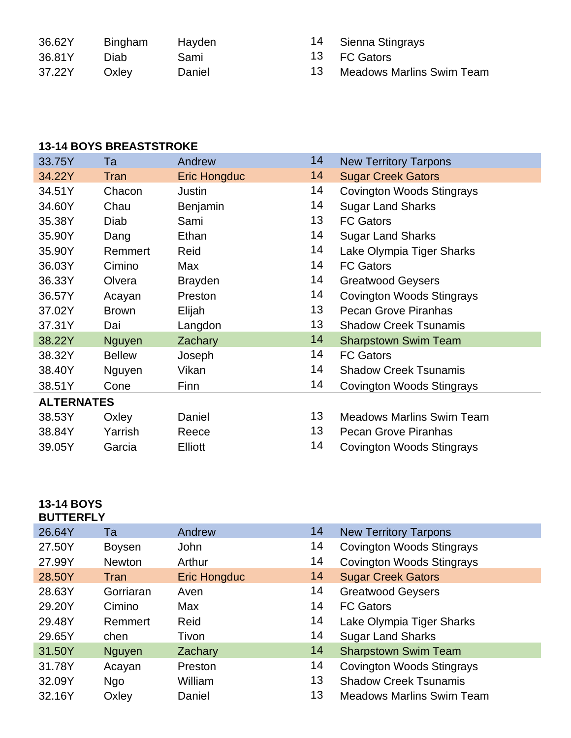| 36.62Y | <b>Bingham</b> | Hayden | 14 Sienna Stingrays              |
|--------|----------------|--------|----------------------------------|
| 36.81Y | Diab           | Sami   | 13 FC Gators                     |
| 37.22Y | Oxley          | Daniel | <b>Meadows Marlins Swim Team</b> |

## **13-14 BOYS BREASTSTROKE**

| 33.75Y            | Та            | Andrew              | 14 | <b>New Territory Tarpons</b>     |
|-------------------|---------------|---------------------|----|----------------------------------|
| 34.22Y            | Tran          | <b>Eric Hongduc</b> | 14 | <b>Sugar Creek Gators</b>        |
| 34.51Y            | Chacon        | Justin              | 14 | Covington Woods Stingrays        |
| 34.60Y            | Chau          | Benjamin            | 14 | <b>Sugar Land Sharks</b>         |
| 35.38Y            | Diab          | Sami                | 13 | <b>FC Gators</b>                 |
| 35.90Y            | Dang          | Ethan               | 14 | <b>Sugar Land Sharks</b>         |
| 35.90Y            | Remmert       | Reid                | 14 | Lake Olympia Tiger Sharks        |
| 36.03Y            | Cimino        | Max                 | 14 | <b>FC Gators</b>                 |
| 36.33Y            | Olvera        | <b>Brayden</b>      | 14 | <b>Greatwood Geysers</b>         |
| 36.57Y            | Acayan        | Preston             | 14 | <b>Covington Woods Stingrays</b> |
| 37.02Y            | <b>Brown</b>  | Elijah              | 13 | <b>Pecan Grove Piranhas</b>      |
| 37.31Y            | Dai           | Langdon             | 13 | <b>Shadow Creek Tsunamis</b>     |
| 38.22Y            | <b>Nguyen</b> | Zachary             | 14 | <b>Sharpstown Swim Team</b>      |
| 38.32Y            | <b>Bellew</b> | Joseph              | 14 | <b>FC Gators</b>                 |
| 38.40Y            | Nguyen        | Vikan               | 14 | <b>Shadow Creek Tsunamis</b>     |
| 38.51Y            | Cone          | Finn                | 14 | Covington Woods Stingrays        |
| <b>ALTERNATES</b> |               |                     |    |                                  |
| 38.53Y            | Oxley         | Daniel              | 13 | <b>Meadows Marlins Swim Team</b> |
| 38.84Y            | Yarrish       | Reece               | 13 | <b>Pecan Grove Piranhas</b>      |
| 39.05Y            | Garcia        | Elliott             | 14 | Covington Woods Stingrays        |
|                   |               |                     |    |                                  |

#### **13-14 BOYS BUTTERFLY**

| 26.64Y | Та            | Andrew              | 14 | <b>New Territory Tarpons</b>     |
|--------|---------------|---------------------|----|----------------------------------|
| 27.50Y | <b>Boysen</b> | John                | 14 | <b>Covington Woods Stingrays</b> |
| 27.99Y | <b>Newton</b> | Arthur              | 14 | <b>Covington Woods Stingrays</b> |
| 28.50Y | Tran          | <b>Eric Hongduc</b> | 14 | <b>Sugar Creek Gators</b>        |
| 28.63Y | Gorriaran     | Aven                | 14 | <b>Greatwood Geysers</b>         |
| 29.20Y | Cimino        | Max                 | 14 | <b>FC Gators</b>                 |
| 29.48Y | Remmert       | Reid                | 14 | Lake Olympia Tiger Sharks        |
| 29.65Y | chen          | Tivon               | 14 | <b>Sugar Land Sharks</b>         |
| 31.50Y | <b>Nguyen</b> | Zachary             | 14 | <b>Sharpstown Swim Team</b>      |
| 31.78Y | Acayan        | Preston             | 14 | <b>Covington Woods Stingrays</b> |
| 32.09Y | Ngo           | William             | 13 | <b>Shadow Creek Tsunamis</b>     |
| 32.16Y | Oxley         | Daniel              | 13 | <b>Meadows Marlins Swim Team</b> |
|        |               |                     |    |                                  |